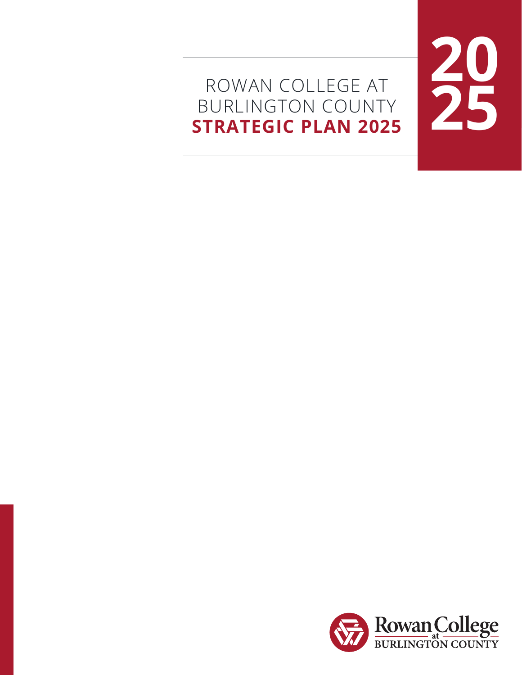

# ROWAN COLLEGE AT BURLINGTON COUNTY **STRATEGIC PLAN 2025**

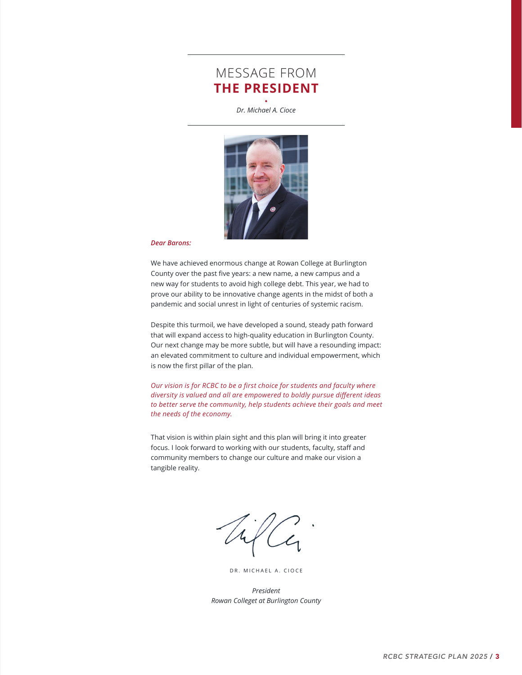### MESSAGE FROM **THE PRESIDENT**

*Dr. Michael A. Cioce*



#### *Dear Barons:*

We have achieved enormous change at Rowan College at Burlington County over the past five years: a new name, a new campus and a new way for students to avoid high college debt. This year, we had to prove our ability to be innovative change agents in the midst of both a pandemic and social unrest in light of centuries of systemic racism.

Despite this turmoil, we have developed a sound, steady path forward that will expand access to high-quality education in Burlington County. Our next change may be more subtle, but will have a resounding impact: an elevated commitment to culture and individual empowerment, which is now the first pillar of the plan.

*Our vision is for RCBC to be a first choice for students and faculty where diversity is valued and all are empowered to boldly pursue different ideas to better serve the community, help students achieve their goals and meet the needs of the economy.*

That vision is within plain sight and this plan will bring it into greater focus. I look forward to working with our students, faculty, staff and community members to change our culture and make our vision a tangible reality.

DR. MICHAEL A. CIOCE

*President Rowan Colleget at Burlington County*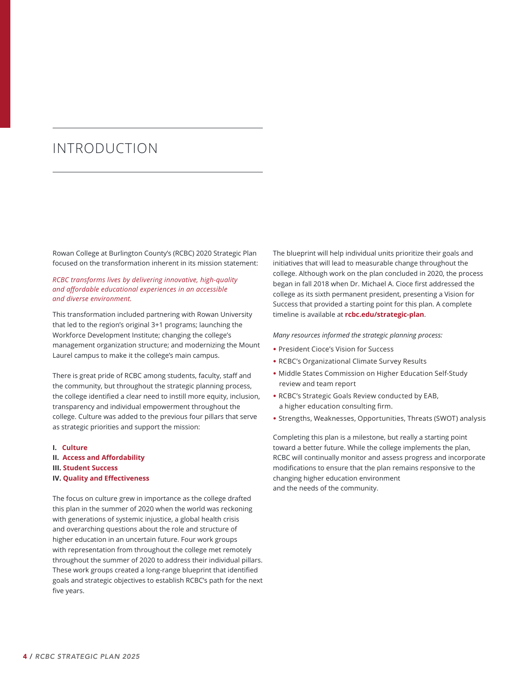# INTRODUCTION

Rowan College at Burlington County's (RCBC) 2020 Strategic Plan focused on the transformation inherent in its mission statement:

#### *RCBC transforms lives by delivering innovative, high-quality and affordable educational experiences in an accessible and diverse environment.*

This transformation included partnering with Rowan University that led to the region's original 3+1 programs; launching the Workforce Development Institute; changing the college's management organization structure; and modernizing the Mount Laurel campus to make it the college's main campus.

There is great pride of RCBC among students, faculty, staff and the community, but throughout the strategic planning process, the college identified a clear need to instill more equity, inclusion, transparency and individual empowerment throughout the college. Culture was added to the previous four pillars that serve as strategic priorities and support the mission:

- **I. Culture II. Access and Affordability**
- **III. Student Success**

**IV. Quality and Effectiveness** The focus on culture grew in importance as the college drafted this plan in the summer of 2020 when the world was reckoning with generations of systemic injustice, a global health crisis and overarching questions about the role and structure of higher education in an uncertain future. Four work groups with representation from throughout the college met remotely throughout the summer of 2020 to address their individual pillars. These work groups created a long-range blueprint that identified goals and strategic objectives to establish RCBC's path for the next five years.

The blueprint will help individual units prioritize their goals and initiatives that will lead to measurable change throughout the college. Although work on the plan concluded in 2020, the process began in fall 2018 when Dr. Michael A. Cioce first addressed the college as its sixth permanent president, presenting a Vision for Success that provided a starting point for this plan. A complete timeline is available at **rcbc.edu/strategic-plan**.

#### *Many resources informed the strategic planning process:*

- President Cioce's Vision for Success
- RCBC's Organizational Climate Survey Results
- Middle States Commission on Higher Education Self-Study review and team report
- RCBC's Strategic Goals Review conducted by EAB, a higher education consulting firm.
- Strengths, Weaknesses, Opportunities, Threats (SWOT) analysis

Completing this plan is a milestone, but really a starting point toward a better future. While the college implements the plan, RCBC will continually monitor and assess progress and incorporate modifications to ensure that the plan remains responsive to the changing higher education environment and the needs of the community.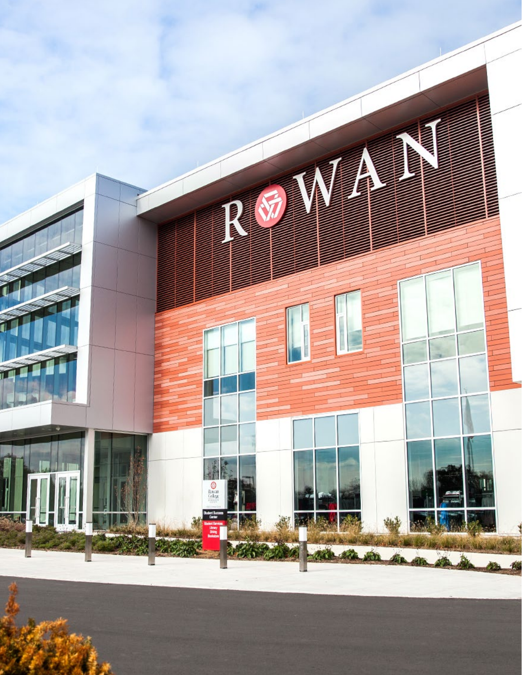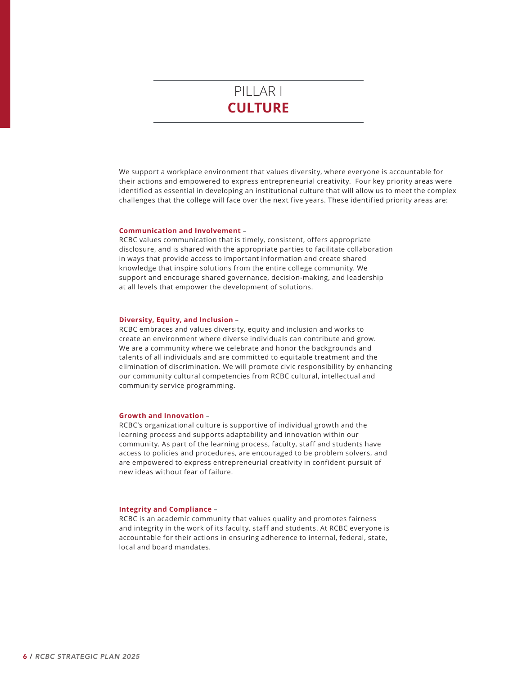# PILLAR I **CULTURE**

We support a workplace environment that values diversity, where everyone is accountable for their actions and empowered to express entrepreneurial creativity. Four key priority areas were identified as essential in developing an institutional culture that will allow us to meet the complex challenges that the college will face over the next five years. These identified priority areas are:

#### **Communication and Involvement** –

RCBC values communication that is timely, consistent, offers appropriate disclosure, and is shared with the appropriate parties to facilitate collaboration in ways that provide access to important information and create shared knowledge that inspire solutions from the entire college community. We support and encourage shared governance, decision-making, and leadership at all levels that empower the development of solutions.

#### **Diversity, Equity, and Inclusion** –

RCBC embraces and values diversity, equity and inclusion and works to create an environment where diverse individuals can contribute and grow. We are a community where we celebrate and honor the backgrounds and talents of all individuals and are committed to equitable treatment and the elimination of discrimination. We will promote civic responsibility by enhancing our community cultural competencies from RCBC cultural, intellectual and community service programming.

#### **Growth and Innovation** –

RCBC's organizational culture is supportive of individual growth and the learning process and supports adaptability and innovation within our community. As part of the learning process, faculty, staff and students have access to policies and procedures, are encouraged to be problem solvers, and are empowered to express entrepreneurial creativity in confident pursuit of new ideas without fear of failure.

#### **Integrity and Compliance** –

RCBC is an academic community that values quality and promotes fairness and integrity in the work of its faculty, staff and students. At RCBC everyone is accountable for their actions in ensuring adherence to internal, federal, state, local and board mandates.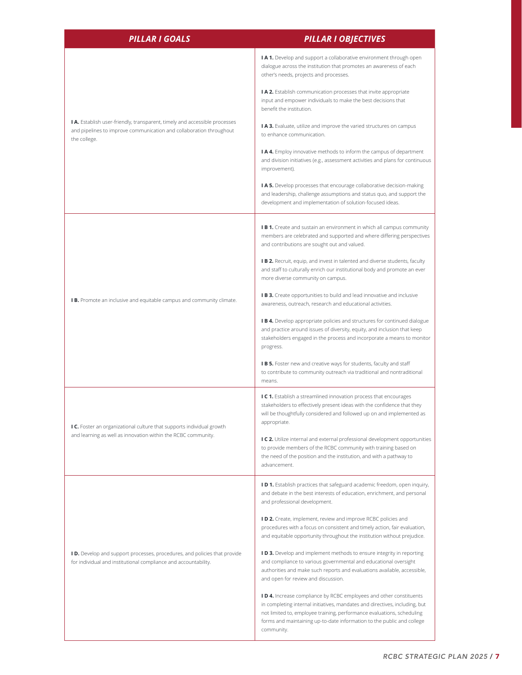| <b>PILLAR I GOALS</b>                                                                                                                                             | <b>PILLAR I OBJECTIVES</b>                                                                                                                                                                                                                                                                                         |
|-------------------------------------------------------------------------------------------------------------------------------------------------------------------|--------------------------------------------------------------------------------------------------------------------------------------------------------------------------------------------------------------------------------------------------------------------------------------------------------------------|
| I A. Establish user-friendly, transparent, timely and accessible processes<br>and pipelines to improve communication and collaboration throughout<br>the college. | I A 1. Develop and support a collaborative environment through open<br>dialogue across the institution that promotes an awareness of each<br>other's needs, projects and processes.                                                                                                                                |
|                                                                                                                                                                   | I A 2. Establish communication processes that invite appropriate<br>input and empower individuals to make the best decisions that<br>benefit the institution.                                                                                                                                                      |
|                                                                                                                                                                   | I A 3. Evaluate, utilize and improve the varied structures on campus<br>to enhance communication.                                                                                                                                                                                                                  |
|                                                                                                                                                                   | <b>I A 4.</b> Employ innovative methods to inform the campus of department<br>and division initiatives (e.g., assessment activities and plans for continuous<br>improvement).                                                                                                                                      |
|                                                                                                                                                                   | <b>I A 5.</b> Develop processes that encourage collaborative decision-making<br>and leadership, challenge assumptions and status quo, and support the<br>development and implementation of solution-focused ideas.                                                                                                 |
| I B. Promote an inclusive and equitable campus and community climate.                                                                                             | I B 1. Create and sustain an environment in which all campus community<br>members are celebrated and supported and where differing perspectives<br>and contributions are sought out and valued.                                                                                                                    |
|                                                                                                                                                                   | I B 2. Recruit, equip, and invest in talented and diverse students, faculty<br>and staff to culturally enrich our institutional body and promote an ever<br>more diverse community on campus.                                                                                                                      |
|                                                                                                                                                                   | I B 3. Create opportunities to build and lead innovative and inclusive<br>awareness, outreach, research and educational activities.                                                                                                                                                                                |
|                                                                                                                                                                   | IB4. Develop appropriate policies and structures for continued dialogue<br>and practice around issues of diversity, equity, and inclusion that keep<br>stakeholders engaged in the process and incorporate a means to monitor<br>progress.                                                                         |
|                                                                                                                                                                   | IB 5. Foster new and creative ways for students, faculty and staff<br>to contribute to community outreach via traditional and nontraditional<br>means.                                                                                                                                                             |
| I C. Foster an organizational culture that supports individual growth<br>and learning as well as innovation within the RCBC community.                            | I C 1. Establish a streamlined innovation process that encourages<br>stakeholders to effectively present ideas with the confidence that they<br>will be thoughtfully considered and followed up on and implemented as<br>appropriate.                                                                              |
|                                                                                                                                                                   | I C 2. Utilize internal and external professional development opportunities<br>to provide members of the RCBC community with training based on<br>the need of the position and the institution, and with a pathway to<br>advancement.                                                                              |
| ID. Develop and support processes, procedures, and policies that provide<br>for individual and institutional compliance and accountability.                       | ID 1. Establish practices that safeguard academic freedom, open inquiry,<br>and debate in the best interests of education, enrichment, and personal<br>and professional development.                                                                                                                               |
|                                                                                                                                                                   | ID 2. Create, implement, review and improve RCBC policies and<br>procedures with a focus on consistent and timely action, fair evaluation,<br>and equitable opportunity throughout the institution without prejudice.                                                                                              |
|                                                                                                                                                                   | ID 3. Develop and implement methods to ensure integrity in reporting<br>and compliance to various governmental and educational oversight<br>authorities and make such reports and evaluations available, accessible,<br>and open for review and discussion.                                                        |
|                                                                                                                                                                   | ID4. Increase compliance by RCBC employees and other constituents<br>in completing internal initiatives, mandates and directives, including, but<br>not limited to, employee training, performance evaluations, scheduling<br>forms and maintaining up-to-date information to the public and college<br>community. |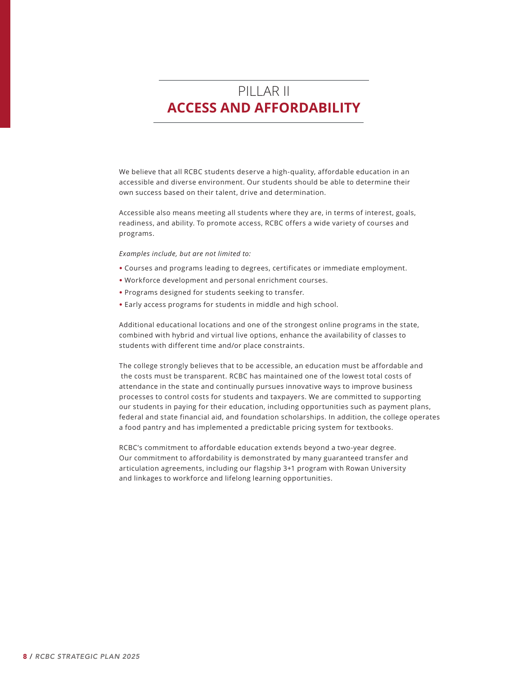# PILLAR II **ACCESS AND AFFORDABILITY**

We believe that all RCBC students deserve a high-quality, affordable education in an accessible and diverse environment. Our students should be able to determine their own success based on their talent, drive and determination.

Accessible also means meeting all students where they are, in terms of interest, goals, readiness, and ability. To promote access, RCBC offers a wide variety of courses and programs.

#### *Examples include, but are not limited to:*

- Courses and programs leading to degrees, certificates or immediate employment.
- Workforce development and personal enrichment courses.
- Programs designed for students seeking to transfer.
- Early access programs for students in middle and high school.

Additional educational locations and one of the strongest online programs in the state, combined with hybrid and virtual live options, enhance the availability of classes to students with different time and/or place constraints.

The college strongly believes that to be accessible, an education must be affordable and the costs must be transparent. RCBC has maintained one of the lowest total costs of attendance in the state and continually pursues innovative ways to improve business processes to control costs for students and taxpayers. We are committed to supporting our students in paying for their education, including opportunities such as payment plans, federal and state financial aid, and foundation scholarships. In addition, the college operates a food pantry and has implemented a predictable pricing system for textbooks.

RCBC's commitment to affordable education extends beyond a two-year degree. Our commitment to affordability is demonstrated by many guaranteed transfer and articulation agreements, including our flagship 3+1 program with Rowan University and linkages to workforce and lifelong learning opportunities.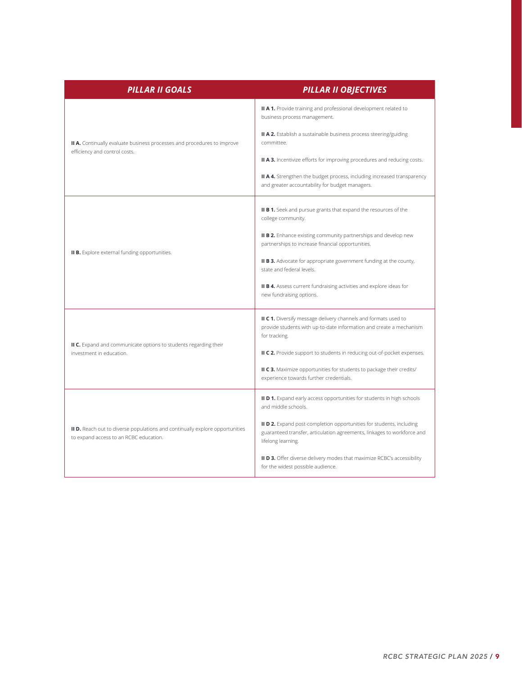| <b>PILLAR II GOALS</b>                                                                                                 | <b>PILLAR II OBJECTIVES</b>                                                                                                                                           |
|------------------------------------------------------------------------------------------------------------------------|-----------------------------------------------------------------------------------------------------------------------------------------------------------------------|
| II A. Continually evaluate business processes and procedures to improve<br>efficiency and control costs.               | II A 1. Provide training and professional development related to<br>business process management.                                                                      |
|                                                                                                                        | II A 2. Establish a sustainable business process steering/guiding<br>committee.                                                                                       |
|                                                                                                                        | II A 3. Incentivize efforts for improving procedures and reducing costs.                                                                                              |
|                                                                                                                        | II A 4. Strengthen the budget process, including increased transparency<br>and greater accountability for budget managers.                                            |
| II B. Explore external funding opportunities.                                                                          | II B 1. Seek and pursue grants that expand the resources of the<br>college community.                                                                                 |
|                                                                                                                        | II B 2. Enhance existing community partnerships and develop new<br>partnerships to increase financial opportunities.                                                  |
|                                                                                                                        | II B 3. Advocate for appropriate government funding at the county,<br>state and federal levels.                                                                       |
|                                                                                                                        | II B 4. Assess current fundraising activities and explore ideas for<br>new fundraising options.                                                                       |
| II C. Expand and communicate options to students regarding their<br>investment in education.                           | II C 1. Diversify message delivery channels and formats used to<br>provide students with up-to-date information and create a mechanism<br>for tracking.               |
|                                                                                                                        | II C 2. Provide support to students in reducing out-of-pocket expenses.                                                                                               |
|                                                                                                                        | II C 3. Maximize opportunities for students to package their credits/<br>experience towards further credentials.                                                      |
| II D. Reach out to diverse populations and continually explore opportunities<br>to expand access to an RCBC education. | II D 1. Expand early access opportunities for students in high schools<br>and middle schools.                                                                         |
|                                                                                                                        | II D 2. Expand post-completion opportunities for students, including<br>guaranteed transfer, articulation agreements, linkages to workforce and<br>lifelong learning. |
|                                                                                                                        | II D 3. Offer diverse delivery modes that maximize RCBC's accessibility<br>for the widest possible audience.                                                          |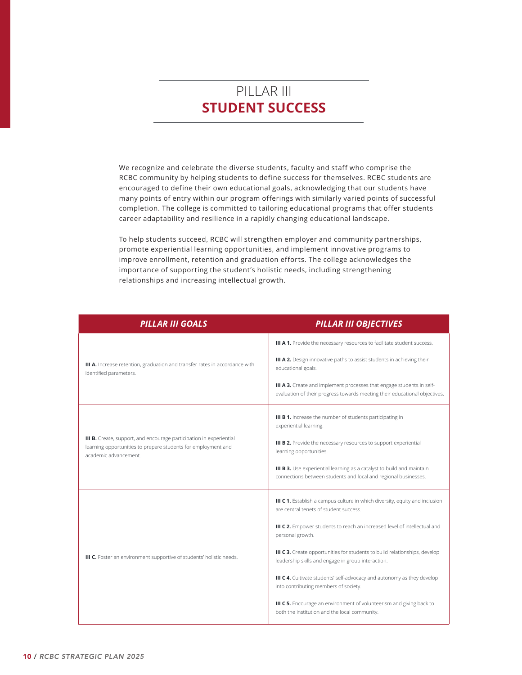# PILLAR III **STUDENT SUCCESS**

We recognize and celebrate the diverse students, faculty and staff who comprise the RCBC community by helping students to define success for themselves. RCBC students are encouraged to define their own educational goals, acknowledging that our students have many points of entry within our program offerings with similarly varied points of successful completion. The college is committed to tailoring educational programs that offer students career adaptability and resilience in a rapidly changing educational landscape.

To help students succeed, RCBC will strengthen employer and community partnerships, promote experiential learning opportunities, and implement innovative programs to improve enrollment, retention and graduation efforts. The college acknowledges the importance of supporting the student's holistic needs, including strengthening relationships and increasing intellectual growth.

| <b>PILLAR III GOALS</b>                                                                                                                                       | <b>PILLAR III OBJECTIVES</b>                                                                                                                                                                                                                                                                                                                                                                                                                                                                                                                                                                             |
|---------------------------------------------------------------------------------------------------------------------------------------------------------------|----------------------------------------------------------------------------------------------------------------------------------------------------------------------------------------------------------------------------------------------------------------------------------------------------------------------------------------------------------------------------------------------------------------------------------------------------------------------------------------------------------------------------------------------------------------------------------------------------------|
| III A. Increase retention, graduation and transfer rates in accordance with<br>identified parameters.                                                         | III A 1. Provide the necessary resources to facilitate student success.<br>III A 2. Design innovative paths to assist students in achieving their<br>educational goals.<br>III A 3. Create and implement processes that engage students in self-<br>evaluation of their progress towards meeting their educational objectives.                                                                                                                                                                                                                                                                           |
| III B. Create, support, and encourage participation in experiential<br>learning opportunities to prepare students for employment and<br>academic advancement. | III B 1. Increase the number of students participating in<br>experiential learning.<br>III B 2. Provide the necessary resources to support experiential<br>learning opportunities.<br>III B 3. Use experiential learning as a catalyst to build and maintain<br>connections between students and local and regional businesses.                                                                                                                                                                                                                                                                          |
| III C. Foster an environment supportive of students' holistic needs.                                                                                          | III C 1. Establish a campus culture in which diversity, equity and inclusion<br>are central tenets of student success.<br>III C 2. Empower students to reach an increased level of intellectual and<br>personal growth.<br>III C 3. Create opportunities for students to build relationships, develop<br>leadership skills and engage in group interaction.<br>III C 4. Cultivate students' self-advocacy and autonomy as they develop<br>into contributing members of society.<br>III C 5. Encourage an environment of volunteerism and giving back to<br>both the institution and the local community. |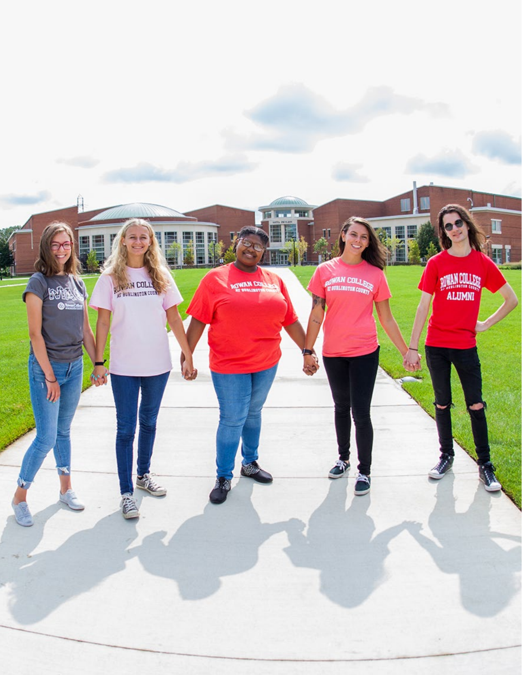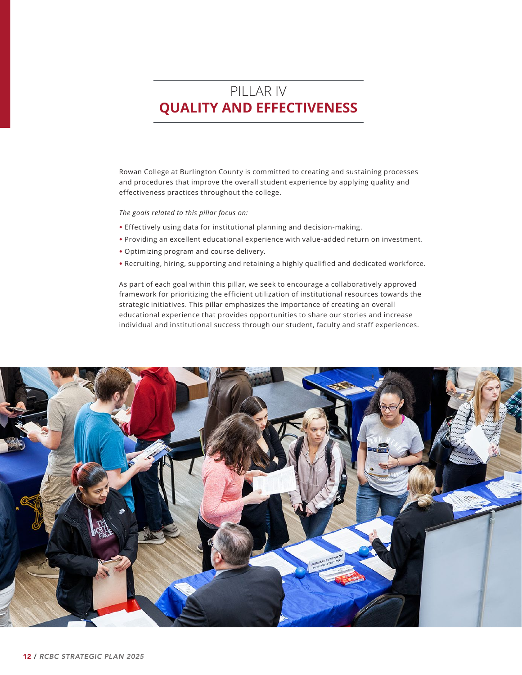# PILLAR IV **QUALITY AND EFFECTIVENESS**

Rowan College at Burlington County is committed to creating and sustaining processes and procedures that improve the overall student experience by applying quality and effectiveness practices throughout the college.

#### *The goals related to this pillar focus on:*

- Effectively using data for institutional planning and decision-making.
- Providing an excellent educational experience with value-added return on investment.
- Optimizing program and course delivery.
- Recruiting, hiring, supporting and retaining a highly qualified and dedicated workforce.

As part of each goal within this pillar, we seek to encourage a collaboratively approved framework for prioritizing the efficient utilization of institutional resources towards the strategic initiatives. This pillar emphasizes the importance of creating an overall educational experience that provides opportunities to share our stories and increase individual and institutional success through our student, faculty and staff experiences.

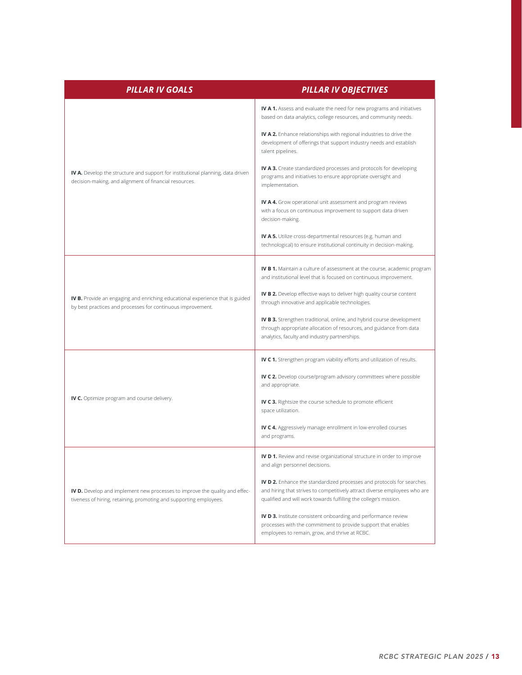| <b>PILLAR IV GOALS</b>                                                                                                                            | <b>PILLAR IV OBJECTIVES</b>                                                                                                                                                                                              |
|---------------------------------------------------------------------------------------------------------------------------------------------------|--------------------------------------------------------------------------------------------------------------------------------------------------------------------------------------------------------------------------|
| IV A. Develop the structure and support for institutional planning, data driven<br>decision-making, and alignment of financial resources.         | IV A 1. Assess and evaluate the need for new programs and initiatives<br>based on data analytics, college resources, and community needs.                                                                                |
|                                                                                                                                                   | IV A 2. Enhance relationships with regional industries to drive the<br>development of offerings that support industry needs and establish<br>talent pipelines.                                                           |
|                                                                                                                                                   | IV A 3. Create standardized processes and protocols for developing<br>programs and initiatives to ensure appropriate oversight and<br>implementation.                                                                    |
|                                                                                                                                                   | IV A 4. Grow operational unit assessment and program reviews<br>with a focus on continuous improvement to support data driven<br>decision-making.                                                                        |
|                                                                                                                                                   | IV A 5. Utilize cross-departmental resources (e.g. human and<br>technological) to ensure institutional continuity in decision-making.                                                                                    |
| IV B. Provide an engaging and enriching educational experience that is guided<br>by best practices and processes for continuous improvement.      | IV B 1. Maintain a culture of assessment at the course, academic program<br>and institutional level that is focused on continuous improvement.                                                                           |
|                                                                                                                                                   | IV B 2. Develop effective ways to deliver high quality course content<br>through innovative and applicable technologies.                                                                                                 |
|                                                                                                                                                   | IV B 3. Strengthen traditional, online, and hybrid course development<br>through appropriate allocation of resources, and guidance from data<br>analytics, faculty and industry partnerships.                            |
| IV C. Optimize program and course delivery.                                                                                                       | IV C 1. Strengthen program viability efforts and utilization of results.                                                                                                                                                 |
|                                                                                                                                                   | IV C 2. Develop course/program advisory committees where possible<br>and appropriate.                                                                                                                                    |
|                                                                                                                                                   | IV C 3. Rightsize the course schedule to promote efficient<br>space utilization.                                                                                                                                         |
|                                                                                                                                                   | IV C 4. Aggressively manage enrollment in low-enrolled courses<br>and programs.                                                                                                                                          |
| IV D. Develop and implement new processes to improve the quality and effec-<br>tiveness of hiring, retaining, promoting and supporting employees. | IV D 1. Review and revise organizational structure in order to improve<br>and align personnel decisions.                                                                                                                 |
|                                                                                                                                                   | IV D 2. Enhance the standardized processes and protocols for searches<br>and hiring that strives to competitively attract diverse employees who are<br>qualified and will work towards fulfilling the college's mission. |
|                                                                                                                                                   | IV D 3. Institute consistent onboarding and performance review<br>processes with the commitment to provide support that enables<br>employees to remain, grow, and thrive at RCBC.                                        |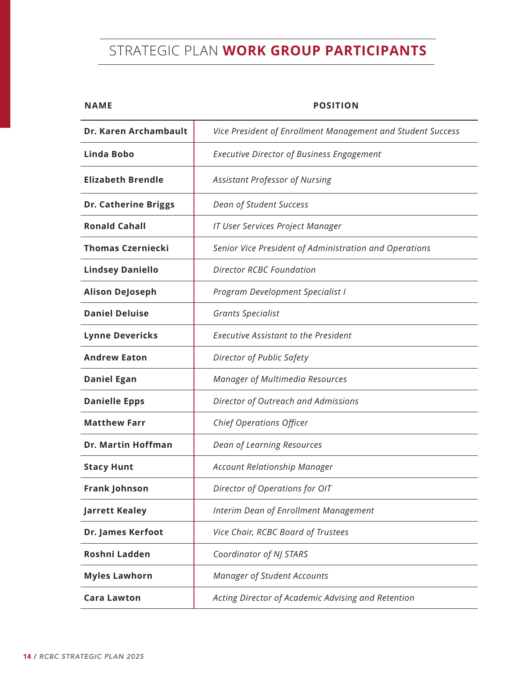# STRATEGIC PLAN **WORK GROUP PARTICIPANTS**

### **NAME POSITION**

| Dr. Karen Archambault     | Vice President of Enrollment Management and Student Success |
|---------------------------|-------------------------------------------------------------|
| <b>Linda Bobo</b>         | <b>Executive Director of Business Engagement</b>            |
| <b>Elizabeth Brendle</b>  | Assistant Professor of Nursing                              |
| Dr. Catherine Briggs      | Dean of Student Success                                     |
| <b>Ronald Cahall</b>      | IT User Services Project Manager                            |
| <b>Thomas Czerniecki</b>  | Senior Vice President of Administration and Operations      |
| <b>Lindsey Daniello</b>   | <b>Director RCBC Foundation</b>                             |
| <b>Alison DeJoseph</b>    | Program Development Specialist I                            |
| <b>Daniel Deluise</b>     | Grants Specialist                                           |
| <b>Lynne Devericks</b>    | <b>Executive Assistant to the President</b>                 |
| <b>Andrew Eaton</b>       | Director of Public Safety                                   |
| <b>Daniel Egan</b>        | Manager of Multimedia Resources                             |
| <b>Danielle Epps</b>      | Director of Outreach and Admissions                         |
| <b>Matthew Farr</b>       | Chief Operations Officer                                    |
| <b>Dr. Martin Hoffman</b> | Dean of Learning Resources                                  |
| <b>Stacy Hunt</b>         | Account Relationship Manager                                |
| <b>Frank Johnson</b>      | Director of Operations for OIT                              |
| <b>Jarrett Kealey</b>     | Interim Dean of Enrollment Management                       |
| Dr. James Kerfoot         | Vice Chair, RCBC Board of Trustees                          |
| Roshni Ladden             | Coordinator of NJ STARS                                     |
| <b>Myles Lawhorn</b>      | <b>Manager of Student Accounts</b>                          |
| <b>Cara Lawton</b>        | Acting Director of Academic Advising and Retention          |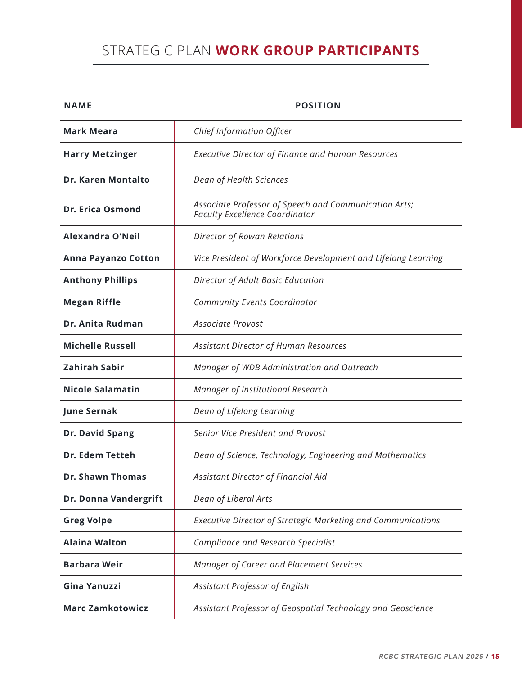# STRATEGIC PLAN **WORK GROUP PARTICIPANTS**

### **NAME POSITION**

| <b>Mark Meara</b>          | Chief Information Officer                                                                      |
|----------------------------|------------------------------------------------------------------------------------------------|
| <b>Harry Metzinger</b>     | Executive Director of Finance and Human Resources                                              |
| <b>Dr. Karen Montalto</b>  | Dean of Health Sciences                                                                        |
| <b>Dr. Erica Osmond</b>    | Associate Professor of Speech and Communication Arts;<br><b>Faculty Excellence Coordinator</b> |
| Alexandra O'Neil           | Director of Rowan Relations                                                                    |
| <b>Anna Payanzo Cotton</b> | Vice President of Workforce Development and Lifelong Learning                                  |
| <b>Anthony Phillips</b>    | Director of Adult Basic Education                                                              |
| <b>Megan Riffle</b>        | Community Events Coordinator                                                                   |
| Dr. Anita Rudman           | Associate Provost                                                                              |
| <b>Michelle Russell</b>    | Assistant Director of Human Resources                                                          |
| <b>Zahirah Sabir</b>       | Manager of WDB Administration and Outreach                                                     |
| <b>Nicole Salamatin</b>    | Manager of Institutional Research                                                              |
| <b>June Sernak</b>         | Dean of Lifelong Learning                                                                      |
| Dr. David Spang            | Senior Vice President and Provost                                                              |
| Dr. Edem Tetteh            | Dean of Science, Technology, Engineering and Mathematics                                       |
| <b>Dr. Shawn Thomas</b>    | Assistant Director of Financial Aid                                                            |
| Dr. Donna Vandergrift      | Dean of Liberal Arts                                                                           |
| <b>Greg Volpe</b>          | Executive Director of Strategic Marketing and Communications                                   |
| <b>Alaina Walton</b>       | Compliance and Research Specialist                                                             |
| <b>Barbara Weir</b>        | Manager of Career and Placement Services                                                       |
| <b>Gina Yanuzzi</b>        | Assistant Professor of English                                                                 |
| <b>Marc Zamkotowicz</b>    | Assistant Professor of Geospatial Technology and Geoscience                                    |